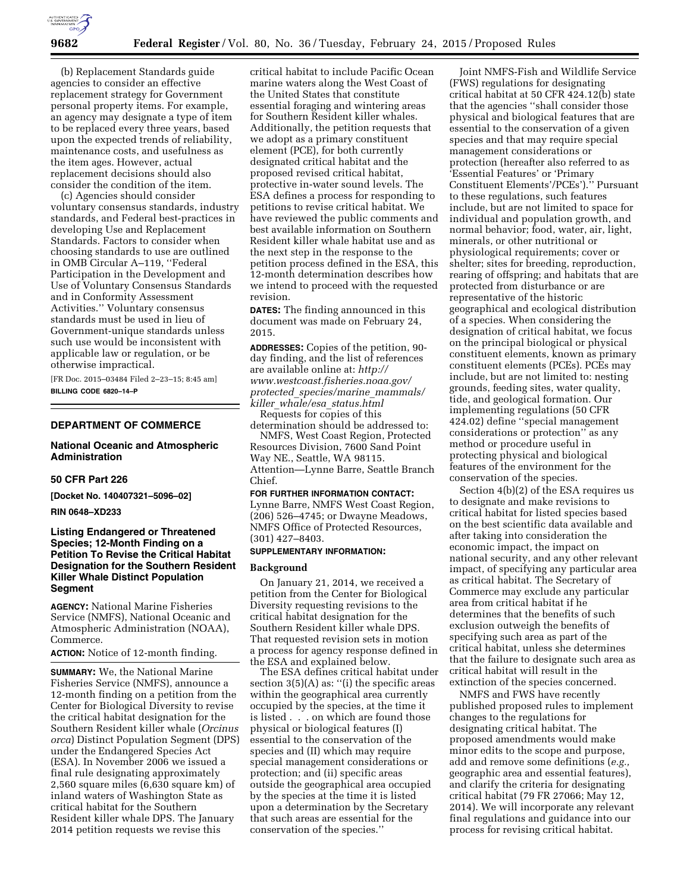

(b) Replacement Standards guide agencies to consider an effective replacement strategy for Government personal property items. For example, an agency may designate a type of item to be replaced every three years, based upon the expected trends of reliability, maintenance costs, and usefulness as the item ages. However, actual replacement decisions should also consider the condition of the item.

(c) Agencies should consider voluntary consensus standards, industry standards, and Federal best-practices in developing Use and Replacement Standards. Factors to consider when choosing standards to use are outlined in OMB Circular A–119, ''Federal Participation in the Development and Use of Voluntary Consensus Standards and in Conformity Assessment Activities.'' Voluntary consensus standards must be used in lieu of Government-unique standards unless such use would be inconsistent with applicable law or regulation, or be otherwise impractical.

[FR Doc. 2015–03484 Filed 2–23–15; 8:45 am] **BILLING CODE 6820–14–P** 

### **DEPARTMENT OF COMMERCE**

# **National Oceanic and Atmospheric Administration**

#### **50 CFR Part 226**

**[Docket No. 140407321–5096–02]** 

# **RIN 0648–XD233**

# **Listing Endangered or Threatened Species; 12-Month Finding on a Petition To Revise the Critical Habitat Designation for the Southern Resident Killer Whale Distinct Population Segment**

**AGENCY:** National Marine Fisheries Service (NMFS), National Oceanic and Atmospheric Administration (NOAA), Commerce.

**ACTION:** Notice of 12-month finding.

**SUMMARY:** We, the National Marine Fisheries Service (NMFS), announce a 12-month finding on a petition from the Center for Biological Diversity to revise the critical habitat designation for the Southern Resident killer whale (*Orcinus orca*) Distinct Population Segment (DPS) under the Endangered Species Act (ESA). In November 2006 we issued a final rule designating approximately 2,560 square miles (6,630 square km) of inland waters of Washington State as critical habitat for the Southern Resident killer whale DPS. The January 2014 petition requests we revise this

critical habitat to include Pacific Ocean marine waters along the West Coast of the United States that constitute essential foraging and wintering areas for Southern Resident killer whales. Additionally, the petition requests that we adopt as a primary constituent element (PCE), for both currently designated critical habitat and the proposed revised critical habitat, protective in-water sound levels. The ESA defines a process for responding to petitions to revise critical habitat. We have reviewed the public comments and best available information on Southern Resident killer whale habitat use and as the next step in the response to the petition process defined in the ESA, this 12-month determination describes how we intend to proceed with the requested revision.

**DATES:** The finding announced in this document was made on February 24, 2015.

**ADDRESSES:** Copies of the petition, 90 day finding, and the list of references are available online at: *[http://](http://www.westcoast.fisheries.noaa.gov/protected_species/marine_mammals/killer_whale/esa_status.html) [www.westcoast.fisheries.noaa.gov/](http://www.westcoast.fisheries.noaa.gov/protected_species/marine_mammals/killer_whale/esa_status.html) protected*\_*[species/marine](http://www.westcoast.fisheries.noaa.gov/protected_species/marine_mammals/killer_whale/esa_status.html)*\_*mammals/ killer*\_*whale/esa*\_*[status.html](http://www.westcoast.fisheries.noaa.gov/protected_species/marine_mammals/killer_whale/esa_status.html)* 

Requests for copies of this determination should be addressed to:

NMFS, West Coast Region, Protected Resources Division, 7600 Sand Point Way NE., Seattle, WA 98115. Attention—Lynne Barre, Seattle Branch Chief.

#### **FOR FURTHER INFORMATION CONTACT:**

Lynne Barre, NMFS West Coast Region, (206) 526–4745; or Dwayne Meadows, NMFS Office of Protected Resources, (301) 427–8403.

# **SUPPLEMENTARY INFORMATION:**

#### **Background**

On January 21, 2014, we received a petition from the Center for Biological Diversity requesting revisions to the critical habitat designation for the Southern Resident killer whale DPS. That requested revision sets in motion a process for agency response defined in the ESA and explained below.

The ESA defines critical habitat under section 3(5)(A) as: ''(i) the specific areas within the geographical area currently occupied by the species, at the time it is listed . . . on which are found those physical or biological features (I) essential to the conservation of the species and (II) which may require special management considerations or protection; and (ii) specific areas outside the geographical area occupied by the species at the time it is listed upon a determination by the Secretary that such areas are essential for the conservation of the species.''

Joint NMFS-Fish and Wildlife Service (FWS) regulations for designating critical habitat at 50 CFR 424.12(b) state that the agencies ''shall consider those physical and biological features that are essential to the conservation of a given species and that may require special management considerations or protection (hereafter also referred to as 'Essential Features' or 'Primary Constituent Elements'/PCEs').'' Pursuant to these regulations, such features include, but are not limited to space for individual and population growth, and normal behavior; food, water, air, light, minerals, or other nutritional or physiological requirements; cover or shelter; sites for breeding, reproduction, rearing of offspring; and habitats that are protected from disturbance or are representative of the historic geographical and ecological distribution of a species. When considering the designation of critical habitat, we focus on the principal biological or physical constituent elements, known as primary constituent elements (PCEs). PCEs may include, but are not limited to: nesting grounds, feeding sites, water quality, tide, and geological formation. Our implementing regulations (50 CFR 424.02) define ''special management considerations or protection'' as any method or procedure useful in protecting physical and biological features of the environment for the conservation of the species.

Section 4(b)(2) of the ESA requires us to designate and make revisions to critical habitat for listed species based on the best scientific data available and after taking into consideration the economic impact, the impact on national security, and any other relevant impact, of specifying any particular area as critical habitat. The Secretary of Commerce may exclude any particular area from critical habitat if he determines that the benefits of such exclusion outweigh the benefits of specifying such area as part of the critical habitat, unless she determines that the failure to designate such area as critical habitat will result in the extinction of the species concerned.

NMFS and FWS have recently published proposed rules to implement changes to the regulations for designating critical habitat. The proposed amendments would make minor edits to the scope and purpose, add and remove some definitions (*e.g.,*  geographic area and essential features), and clarify the criteria for designating critical habitat (79 FR 27066; May 12, 2014). We will incorporate any relevant final regulations and guidance into our process for revising critical habitat.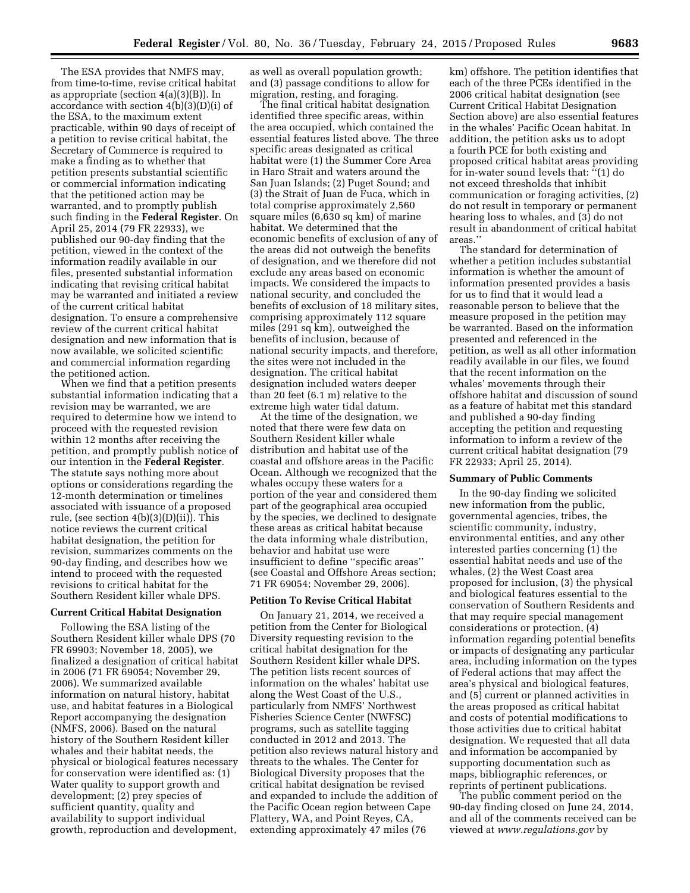The ESA provides that NMFS may, from time-to-time, revise critical habitat as appropriate (section 4(a)(3)(B)). In accordance with section 4(b)(3)(D)(i) of the ESA, to the maximum extent practicable, within 90 days of receipt of a petition to revise critical habitat, the Secretary of Commerce is required to make a finding as to whether that petition presents substantial scientific or commercial information indicating that the petitioned action may be warranted, and to promptly publish such finding in the **Federal Register**. On April 25, 2014 (79 FR 22933), we published our 90-day finding that the petition, viewed in the context of the information readily available in our files, presented substantial information indicating that revising critical habitat may be warranted and initiated a review of the current critical habitat designation. To ensure a comprehensive review of the current critical habitat designation and new information that is now available, we solicited scientific and commercial information regarding the petitioned action.

When we find that a petition presents substantial information indicating that a revision may be warranted, we are required to determine how we intend to proceed with the requested revision within 12 months after receiving the petition, and promptly publish notice of our intention in the **Federal Register**. The statute says nothing more about options or considerations regarding the 12-month determination or timelines associated with issuance of a proposed rule, (see section 4(b)(3)(D)(ii)). This notice reviews the current critical habitat designation, the petition for revision, summarizes comments on the 90-day finding, and describes how we intend to proceed with the requested revisions to critical habitat for the Southern Resident killer whale DPS.

### **Current Critical Habitat Designation**

Following the ESA listing of the Southern Resident killer whale DPS (70 FR 69903; November 18, 2005), we finalized a designation of critical habitat in 2006 (71 FR 69054; November 29, 2006). We summarized available information on natural history, habitat use, and habitat features in a Biological Report accompanying the designation (NMFS, 2006). Based on the natural history of the Southern Resident killer whales and their habitat needs, the physical or biological features necessary for conservation were identified as: (1) Water quality to support growth and development; (2) prey species of sufficient quantity, quality and availability to support individual growth, reproduction and development,

as well as overall population growth; and (3) passage conditions to allow for migration, resting, and foraging.

The final critical habitat designation identified three specific areas, within the area occupied, which contained the essential features listed above. The three specific areas designated as critical habitat were (1) the Summer Core Area in Haro Strait and waters around the San Juan Islands; (2) Puget Sound; and (3) the Strait of Juan de Fuca, which in total comprise approximately 2,560 square miles (6,630 sq km) of marine habitat. We determined that the economic benefits of exclusion of any of the areas did not outweigh the benefits of designation, and we therefore did not exclude any areas based on economic impacts. We considered the impacts to national security, and concluded the benefits of exclusion of 18 military sites, comprising approximately 112 square miles (291 sq km), outweighed the benefits of inclusion, because of national security impacts, and therefore, the sites were not included in the designation. The critical habitat designation included waters deeper than 20 feet (6.1 m) relative to the extreme high water tidal datum.

At the time of the designation, we noted that there were few data on Southern Resident killer whale distribution and habitat use of the coastal and offshore areas in the Pacific Ocean. Although we recognized that the whales occupy these waters for a portion of the year and considered them part of the geographical area occupied by the species, we declined to designate these areas as critical habitat because the data informing whale distribution, behavior and habitat use were insufficient to define ''specific areas'' (see Coastal and Offshore Areas section; 71 FR 69054; November 29, 2006).

### **Petition To Revise Critical Habitat**

On January 21, 2014, we received a petition from the Center for Biological Diversity requesting revision to the critical habitat designation for the Southern Resident killer whale DPS. The petition lists recent sources of information on the whales' habitat use along the West Coast of the U.S., particularly from NMFS' Northwest Fisheries Science Center (NWFSC) programs, such as satellite tagging conducted in 2012 and 2013. The petition also reviews natural history and threats to the whales. The Center for Biological Diversity proposes that the critical habitat designation be revised and expanded to include the addition of the Pacific Ocean region between Cape Flattery, WA, and Point Reyes, CA, extending approximately 47 miles (76

km) offshore. The petition identifies that each of the three PCEs identified in the 2006 critical habitat designation (see Current Critical Habitat Designation Section above) are also essential features in the whales' Pacific Ocean habitat. In addition, the petition asks us to adopt a fourth PCE for both existing and proposed critical habitat areas providing for in-water sound levels that: ''(1) do not exceed thresholds that inhibit communication or foraging activities, (2) do not result in temporary or permanent hearing loss to whales, and (3) do not result in abandonment of critical habitat areas.''

The standard for determination of whether a petition includes substantial information is whether the amount of information presented provides a basis for us to find that it would lead a reasonable person to believe that the measure proposed in the petition may be warranted. Based on the information presented and referenced in the petition, as well as all other information readily available in our files, we found that the recent information on the whales' movements through their offshore habitat and discussion of sound as a feature of habitat met this standard and published a 90-day finding accepting the petition and requesting information to inform a review of the current critical habitat designation (79 FR 22933; April 25, 2014).

## **Summary of Public Comments**

In the 90-day finding we solicited new information from the public, governmental agencies, tribes, the scientific community, industry, environmental entities, and any other interested parties concerning (1) the essential habitat needs and use of the whales, (2) the West Coast area proposed for inclusion, (3) the physical and biological features essential to the conservation of Southern Residents and that may require special management considerations or protection, (4) information regarding potential benefits or impacts of designating any particular area, including information on the types of Federal actions that may affect the area's physical and biological features, and (5) current or planned activities in the areas proposed as critical habitat and costs of potential modifications to those activities due to critical habitat designation. We requested that all data and information be accompanied by supporting documentation such as maps, bibliographic references, or reprints of pertinent publications.

The public comment period on the 90-day finding closed on June 24, 2014, and all of the comments received can be viewed at *[www.regulations.gov](http://www.regulations.gov)* by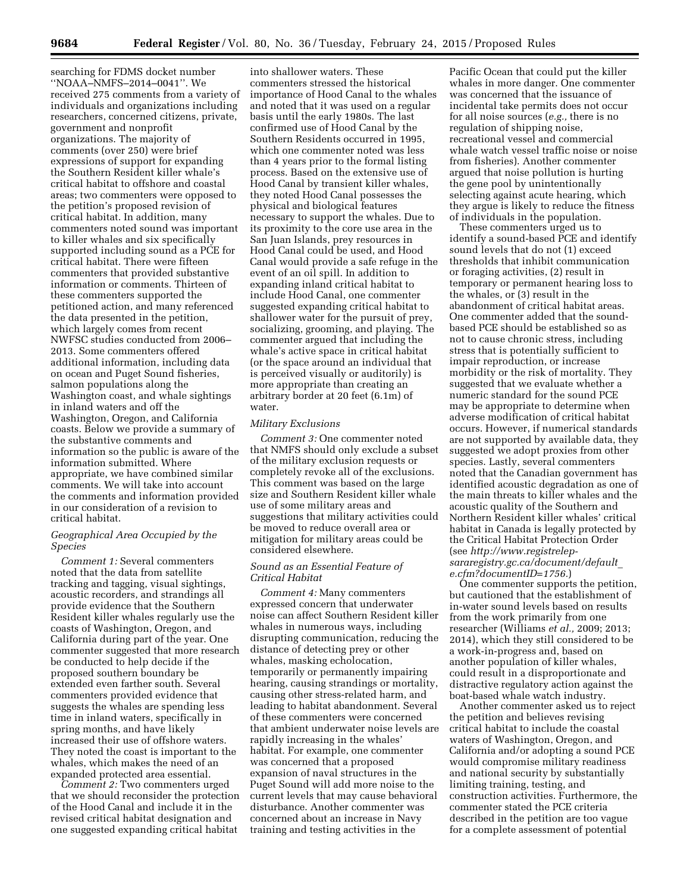searching for FDMS docket number ''NOAA–NMFS–2014–0041''. We received 275 comments from a variety of individuals and organizations including researchers, concerned citizens, private, government and nonprofit organizations. The majority of comments (over 250) were brief expressions of support for expanding the Southern Resident killer whale's critical habitat to offshore and coastal areas; two commenters were opposed to the petition's proposed revision of critical habitat. In addition, many commenters noted sound was important to killer whales and six specifically supported including sound as a PCE for critical habitat. There were fifteen commenters that provided substantive information or comments. Thirteen of these commenters supported the petitioned action, and many referenced the data presented in the petition, which largely comes from recent NWFSC studies conducted from 2006– 2013. Some commenters offered additional information, including data on ocean and Puget Sound fisheries, salmon populations along the Washington coast, and whale sightings in inland waters and off the Washington, Oregon, and California coasts. Below we provide a summary of the substantive comments and information so the public is aware of the information submitted. Where appropriate, we have combined similar comments. We will take into account the comments and information provided in our consideration of a revision to critical habitat.

### *Geographical Area Occupied by the Species*

*Comment 1:* Several commenters noted that the data from satellite tracking and tagging, visual sightings, acoustic recorders, and strandings all provide evidence that the Southern Resident killer whales regularly use the coasts of Washington, Oregon, and California during part of the year. One commenter suggested that more research be conducted to help decide if the proposed southern boundary be extended even farther south. Several commenters provided evidence that suggests the whales are spending less time in inland waters, specifically in spring months, and have likely increased their use of offshore waters. They noted the coast is important to the whales, which makes the need of an expanded protected area essential.

*Comment 2:* Two commenters urged that we should reconsider the protection of the Hood Canal and include it in the revised critical habitat designation and one suggested expanding critical habitat

into shallower waters. These commenters stressed the historical importance of Hood Canal to the whales and noted that it was used on a regular basis until the early 1980s. The last confirmed use of Hood Canal by the Southern Residents occurred in 1995, which one commenter noted was less than 4 years prior to the formal listing process. Based on the extensive use of Hood Canal by transient killer whales, they noted Hood Canal possesses the physical and biological features necessary to support the whales. Due to its proximity to the core use area in the San Juan Islands, prey resources in Hood Canal could be used, and Hood Canal would provide a safe refuge in the event of an oil spill. In addition to expanding inland critical habitat to include Hood Canal, one commenter suggested expanding critical habitat to shallower water for the pursuit of prey, socializing, grooming, and playing. The commenter argued that including the whale's active space in critical habitat (or the space around an individual that is perceived visually or auditorily) is more appropriate than creating an arbitrary border at 20 feet (6.1m) of water.

### *Military Exclusions*

*Comment 3:* One commenter noted that NMFS should only exclude a subset of the military exclusion requests or completely revoke all of the exclusions. This comment was based on the large size and Southern Resident killer whale use of some military areas and suggestions that military activities could be moved to reduce overall area or mitigation for military areas could be considered elsewhere.

### *Sound as an Essential Feature of Critical Habitat*

*Comment 4:* Many commenters expressed concern that underwater noise can affect Southern Resident killer whales in numerous ways, including disrupting communication, reducing the distance of detecting prey or other whales, masking echolocation, temporarily or permanently impairing hearing, causing strandings or mortality, causing other stress-related harm, and leading to habitat abandonment. Several of these commenters were concerned that ambient underwater noise levels are rapidly increasing in the whales' habitat. For example, one commenter was concerned that a proposed expansion of naval structures in the Puget Sound will add more noise to the current levels that may cause behavioral disturbance. Another commenter was concerned about an increase in Navy training and testing activities in the

Pacific Ocean that could put the killer whales in more danger. One commenter was concerned that the issuance of incidental take permits does not occur for all noise sources (*e.g.,* there is no regulation of shipping noise, recreational vessel and commercial whale watch vessel traffic noise or noise from fisheries). Another commenter argued that noise pollution is hurting the gene pool by unintentionally selecting against acute hearing, which they argue is likely to reduce the fitness of individuals in the population.

These commenters urged us to identify a sound-based PCE and identify sound levels that do not (1) exceed thresholds that inhibit communication or foraging activities, (2) result in temporary or permanent hearing loss to the whales, or (3) result in the abandonment of critical habitat areas. One commenter added that the soundbased PCE should be established so as not to cause chronic stress, including stress that is potentially sufficient to impair reproduction, or increase morbidity or the risk of mortality. They suggested that we evaluate whether a numeric standard for the sound PCE may be appropriate to determine when adverse modification of critical habitat occurs. However, if numerical standards are not supported by available data, they suggested we adopt proxies from other species. Lastly, several commenters noted that the Canadian government has identified acoustic degradation as one of the main threats to killer whales and the acoustic quality of the Southern and Northern Resident killer whales' critical habitat in Canada is legally protected by the Critical Habitat Protection Order (see *[http://www.registrelep](http://www.registrelep-sararegistry.gc.ca/document/default_e.cfm?documentID=1756)[sararegistry.gc.ca/document/default](http://www.registrelep-sararegistry.gc.ca/document/default_e.cfm?documentID=1756)*\_ *[e.cfm?documentID=1756.](http://www.registrelep-sararegistry.gc.ca/document/default_e.cfm?documentID=1756)*)

One commenter supports the petition, but cautioned that the establishment of in-water sound levels based on results from the work primarily from one researcher (Williams *et al.,* 2009; 2013; 2014), which they still considered to be a work-in-progress and, based on another population of killer whales, could result in a disproportionate and distractive regulatory action against the boat-based whale watch industry.

Another commenter asked us to reject the petition and believes revising critical habitat to include the coastal waters of Washington, Oregon, and California and/or adopting a sound PCE would compromise military readiness and national security by substantially limiting training, testing, and construction activities. Furthermore, the commenter stated the PCE criteria described in the petition are too vague for a complete assessment of potential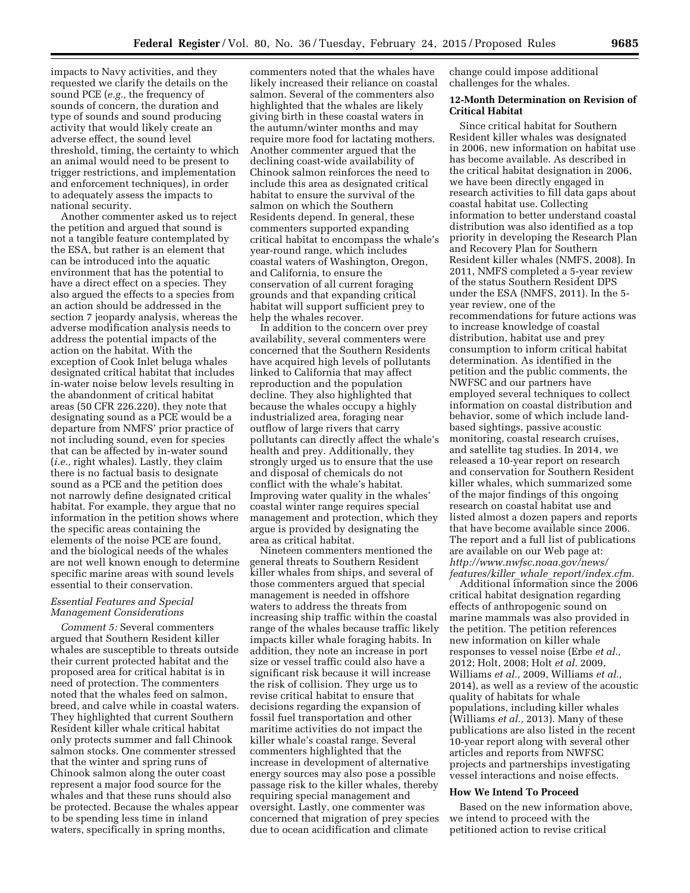impacts to Navy activities, and they requested we clarify the details on the sound PCE (*e.g.,* the frequency of sounds of concern, the duration and type of sounds and sound producing activity that would likely create an adverse effect, the sound level threshold, timing, the certainty to which an animal would need to be present to trigger restrictions, and implementation and enforcement techniques), in order to adequately assess the impacts to national security.

Another commenter asked us to reject the petition and argued that sound is not a tangible feature contemplated by the ESA, but rather is an element that can be introduced into the aquatic environment that has the potential to have a direct effect on a species. They also argued the effects to a species from an action should be addressed in the section 7 jeopardy analysis, whereas the adverse modification analysis needs to address the potential impacts of the action on the habitat. With the exception of Cook Inlet beluga whales designated critical habitat that includes in-water noise below levels resulting in the abandonment of critical habitat areas (50 CFR 226.220), they note that designating sound as a PCE would be a departure from NMFS' prior practice of not including sound, even for species that can be affected by in-water sound (*i.e.,* right whales). Lastly, they claim there is no factual basis to designate sound as a PCE and the petition does not narrowly define designated critical habitat. For example, they argue that no information in the petition shows where the specific areas containing the elements of the noise PCE are found, and the biological needs of the whales are not well known enough to determine specific marine areas with sound levels essential to their conservation.

# *Essential Features and Special Management Considerations*

*Comment 5:* Several commenters argued that Southern Resident killer whales are susceptible to threats outside their current protected habitat and the proposed area for critical habitat is in need of protection. The commenters noted that the whales feed on salmon, breed, and calve while in coastal waters. They highlighted that current Southern Resident killer whale critical habitat only protects summer and fall Chinook salmon stocks. One commenter stressed that the winter and spring runs of Chinook salmon along the outer coast represent a major food source for the whales and that these runs should also be protected. Because the whales appear to be spending less time in inland waters, specifically in spring months,

commenters noted that the whales have likely increased their reliance on coastal salmon. Several of the commenters also highlighted that the whales are likely giving birth in these coastal waters in the autumn/winter months and may require more food for lactating mothers. Another commenter argued that the declining coast-wide availability of Chinook salmon reinforces the need to include this area as designated critical habitat to ensure the survival of the salmon on which the Southern Residents depend. In general, these commenters supported expanding critical habitat to encompass the whale's year-round range, which includes coastal waters of Washington, Oregon, and California, to ensure the conservation of all current foraging grounds and that expanding critical habitat will support sufficient prey to help the whales recover.

In addition to the concern over prey availability, several commenters were concerned that the Southern Residents have acquired high levels of pollutants linked to California that may affect reproduction and the population decline. They also highlighted that because the whales occupy a highly industrialized area, foraging near outflow of large rivers that carry pollutants can directly affect the whale's health and prey. Additionally, they strongly urged us to ensure that the use and disposal of chemicals do not conflict with the whale's habitat. Improving water quality in the whales' coastal winter range requires special management and protection, which they argue is provided by designating the area as critical habitat.

Nineteen commenters mentioned the general threats to Southern Resident killer whales from ships, and several of those commenters argued that special management is needed in offshore waters to address the threats from increasing ship traffic within the coastal range of the whales because traffic likely impacts killer whale foraging habits. In addition, they note an increase in port size or vessel traffic could also have a significant risk because it will increase the risk of collision. They urge us to revise critical habitat to ensure that decisions regarding the expansion of fossil fuel transportation and other maritime activities do not impact the killer whale's coastal range. Several commenters highlighted that the increase in development of alternative energy sources may also pose a possible passage risk to the killer whales, thereby requiring special management and oversight. Lastly, one commenter was concerned that migration of prey species due to ocean acidification and climate

change could impose additional challenges for the whales.

### **12-Month Determination on Revision of Critical Habitat**

Since critical habitat for Southern Resident killer whales was designated in 2006, new information on habitat use has become available. As described in the critical habitat designation in 2006, we have been directly engaged in research activities to fill data gaps about coastal habitat use. Collecting information to better understand coastal distribution was also identified as a top priority in developing the Research Plan and Recovery Plan for Southern Resident killer whales (NMFS, 2008). In 2011, NMFS completed a 5-year review of the status Southern Resident DPS under the ESA (NMFS, 2011). In the 5 year review, one of the recommendations for future actions was to increase knowledge of coastal distribution, habitat use and prey consumption to inform critical habitat determination. As identified in the petition and the public comments, the NWFSC and our partners have employed several techniques to collect information on coastal distribution and behavior, some of which include landbased sightings, passive acoustic monitoring, coastal research cruises, and satellite tag studies. In 2014, we released a 10-year report on research and conservation for Southern Resident killer whales, which summarized some of the major findings of this ongoing research on coastal habitat use and listed almost a dozen papers and reports that have become available since 2006. The report and a full list of publications are available on our Web page at: *[http://www.nwfsc.noaa.gov/news/](http://www.nwfsc.noaa.gov/news/features/killer_whale_report/index.cfm) features/killer*\_*whale*\_*[report/index.cfm.](http://www.nwfsc.noaa.gov/news/features/killer_whale_report/index.cfm)* 

Additional information since the 2006 critical habitat designation regarding effects of anthropogenic sound on marine mammals was also provided in the petition. The petition references new information on killer whale responses to vessel noise (Erbe *et al.,*  2012; Holt, 2008; Holt *et al.* 2009, Williams *et al.,* 2009, Williams *et al.,*  2014), as well as a review of the acoustic quality of habitats for whale populations, including killer whales (Williams *et al.,* 2013). Many of these publications are also listed in the recent 10-year report along with several other articles and reports from NWFSC projects and partnerships investigating vessel interactions and noise effects.

# **How We Intend To Proceed**

Based on the new information above, we intend to proceed with the petitioned action to revise critical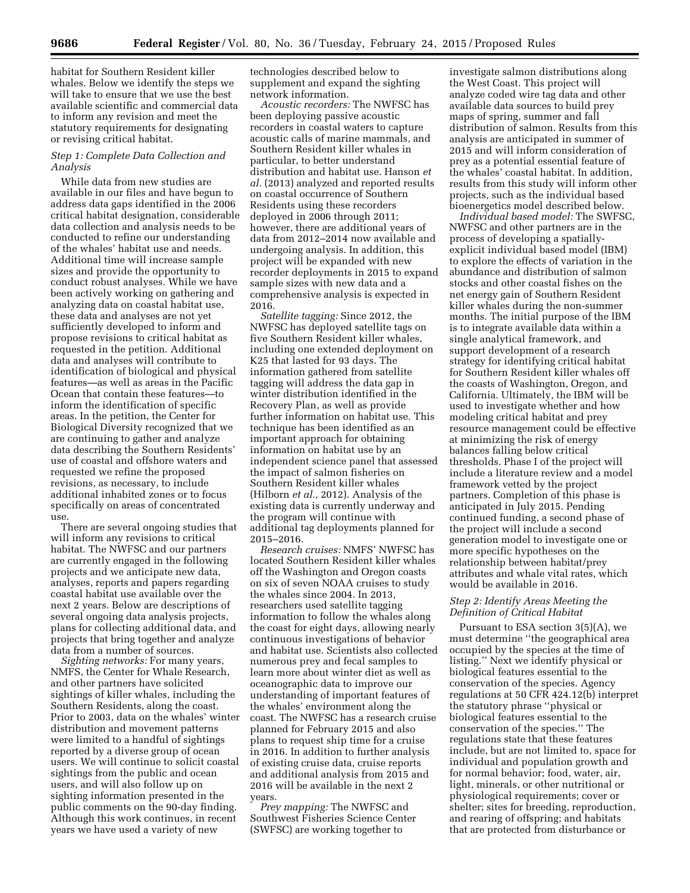habitat for Southern Resident killer whales. Below we identify the steps we will take to ensure that we use the best available scientific and commercial data to inform any revision and meet the statutory requirements for designating or revising critical habitat.

# *Step 1: Complete Data Collection and Analysis*

While data from new studies are available in our files and have begun to address data gaps identified in the 2006 critical habitat designation, considerable data collection and analysis needs to be conducted to refine our understanding of the whales' habitat use and needs. Additional time will increase sample sizes and provide the opportunity to conduct robust analyses. While we have been actively working on gathering and analyzing data on coastal habitat use, these data and analyses are not yet sufficiently developed to inform and propose revisions to critical habitat as requested in the petition. Additional data and analyses will contribute to identification of biological and physical features—as well as areas in the Pacific Ocean that contain these features—to inform the identification of specific areas. In the petition, the Center for Biological Diversity recognized that we are continuing to gather and analyze data describing the Southern Residents' use of coastal and offshore waters and requested we refine the proposed revisions, as necessary, to include additional inhabited zones or to focus specifically on areas of concentrated use.

There are several ongoing studies that will inform any revisions to critical habitat. The NWFSC and our partners are currently engaged in the following projects and we anticipate new data, analyses, reports and papers regarding coastal habitat use available over the next 2 years. Below are descriptions of several ongoing data analysis projects, plans for collecting additional data, and projects that bring together and analyze data from a number of sources.

*Sighting networks:* For many years, NMFS, the Center for Whale Research, and other partners have solicited sightings of killer whales, including the Southern Residents, along the coast. Prior to 2003, data on the whales' winter distribution and movement patterns were limited to a handful of sightings reported by a diverse group of ocean users. We will continue to solicit coastal sightings from the public and ocean users, and will also follow up on sighting information presented in the public comments on the 90-day finding. Although this work continues, in recent years we have used a variety of new

technologies described below to supplement and expand the sighting network information.

*Acoustic recorders:* The NWFSC has been deploying passive acoustic recorders in coastal waters to capture acoustic calls of marine mammals, and Southern Resident killer whales in particular, to better understand distribution and habitat use. Hanson *et al.* (2013) analyzed and reported results on coastal occurrence of Southern Residents using these recorders deployed in 2006 through 2011; however, there are additional years of data from 2012–2014 now available and undergoing analysis. In addition, this project will be expanded with new recorder deployments in 2015 to expand sample sizes with new data and a comprehensive analysis is expected in 2016.

*Satellite tagging:* Since 2012, the NWFSC has deployed satellite tags on five Southern Resident killer whales, including one extended deployment on K25 that lasted for 93 days. The information gathered from satellite tagging will address the data gap in winter distribution identified in the Recovery Plan, as well as provide further information on habitat use. This technique has been identified as an important approach for obtaining information on habitat use by an independent science panel that assessed the impact of salmon fisheries on Southern Resident killer whales (Hilborn *et al.,* 2012). Analysis of the existing data is currently underway and the program will continue with additional tag deployments planned for 2015–2016.

*Research cruises:* NMFS' NWFSC has located Southern Resident killer whales off the Washington and Oregon coasts on six of seven NOAA cruises to study the whales since 2004. In 2013, researchers used satellite tagging information to follow the whales along the coast for eight days, allowing nearly continuous investigations of behavior and habitat use. Scientists also collected numerous prey and fecal samples to learn more about winter diet as well as oceanographic data to improve our understanding of important features of the whales' environment along the coast. The NWFSC has a research cruise planned for February 2015 and also plans to request ship time for a cruise in 2016. In addition to further analysis of existing cruise data, cruise reports and additional analysis from 2015 and 2016 will be available in the next 2 years.

*Prey mapping:* The NWFSC and Southwest Fisheries Science Center (SWFSC) are working together to

investigate salmon distributions along the West Coast. This project will analyze coded wire tag data and other available data sources to build prey maps of spring, summer and fall distribution of salmon. Results from this analysis are anticipated in summer of 2015 and will inform consideration of prey as a potential essential feature of the whales' coastal habitat. In addition, results from this study will inform other projects, such as the individual based bioenergetics model described below.

*Individual based model:* The SWFSC, NWFSC and other partners are in the process of developing a spatiallyexplicit individual based model (IBM) to explore the effects of variation in the abundance and distribution of salmon stocks and other coastal fishes on the net energy gain of Southern Resident killer whales during the non-summer months. The initial purpose of the IBM is to integrate available data within a single analytical framework, and support development of a research strategy for identifying critical habitat for Southern Resident killer whales off the coasts of Washington, Oregon, and California. Ultimately, the IBM will be used to investigate whether and how modeling critical habitat and prey resource management could be effective at minimizing the risk of energy balances falling below critical thresholds. Phase I of the project will include a literature review and a model framework vetted by the project partners. Completion of this phase is anticipated in July 2015. Pending continued funding, a second phase of the project will include a second generation model to investigate one or more specific hypotheses on the relationship between habitat/prey attributes and whale vital rates, which would be available in 2016.

# *Step 2: Identify Areas Meeting the Definition of Critical Habitat*

Pursuant to ESA section 3(5)(A), we must determine ''the geographical area occupied by the species at the time of listing.'' Next we identify physical or biological features essential to the conservation of the species. Agency regulations at 50 CFR 424.12(b) interpret the statutory phrase ''physical or biological features essential to the conservation of the species.'' The regulations state that these features include, but are not limited to, space for individual and population growth and for normal behavior; food, water, air, light, minerals, or other nutritional or physiological requirements; cover or shelter; sites for breeding, reproduction, and rearing of offspring; and habitats that are protected from disturbance or